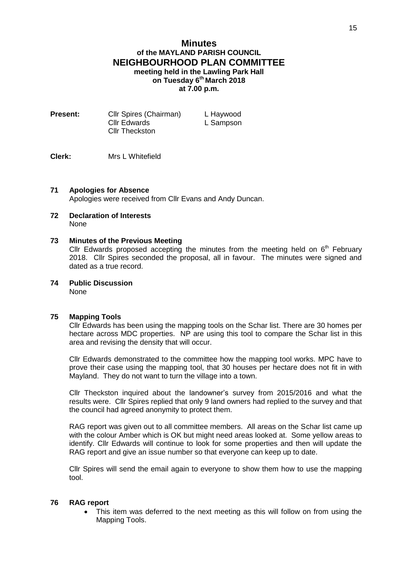## **Minutes of the MAYLAND PARISH COUNCIL NEIGHBOURHOOD PLAN COMMITTEE meeting held in the Lawling Park Hall on Tuesday 6 th March 2018 at 7.00 p.m.**

| <b>Present:</b> | <b>Cllr Spires (Chairman)</b> | L Haywood |
|-----------------|-------------------------------|-----------|
|                 | <b>Cllr Edwards</b>           | L Sampson |
|                 | <b>Cllr Theckston</b>         |           |

**Clerk:** Mrs L Whitefield

### **71 Apologies for Absence**

Apologies were received from Cllr Evans and Andy Duncan.

**72 Declaration of Interests** None

#### **73 Minutes of the Previous Meeting**

Cllr Edwards proposed accepting the minutes from the meeting held on  $6<sup>th</sup>$  February 2018. Cllr Spires seconded the proposal, all in favour. The minutes were signed and dated as a true record.

**74 Public Discussion** None

#### **75 Mapping Tools**

Cllr Edwards has been using the mapping tools on the Schar list. There are 30 homes per hectare across MDC properties. NP are using this tool to compare the Schar list in this area and revising the density that will occur.

Cllr Edwards demonstrated to the committee how the mapping tool works. MPC have to prove their case using the mapping tool, that 30 houses per hectare does not fit in with Mayland. They do not want to turn the village into a town.

Cllr Theckston inquired about the landowner's survey from 2015/2016 and what the results were. Cllr Spires replied that only 9 land owners had replied to the survey and that the council had agreed anonymity to protect them.

RAG report was given out to all committee members. All areas on the Schar list came up with the colour Amber which is OK but might need areas looked at. Some yellow areas to identify. Cllr Edwards will continue to look for some properties and then will update the RAG report and give an issue number so that everyone can keep up to date.

Cllr Spires will send the email again to everyone to show them how to use the mapping tool.

#### **76 RAG report**

 This item was deferred to the next meeting as this will follow on from using the Mapping Tools.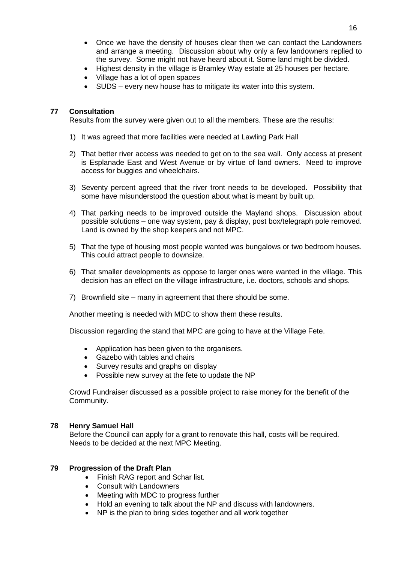- Once we have the density of houses clear then we can contact the Landowners and arrange a meeting. Discussion about why only a few landowners replied to the survey. Some might not have heard about it. Some land might be divided.
- Highest density in the village is Bramley Way estate at 25 houses per hectare.
- Village has a lot of open spaces
- SUDS every new house has to mitigate its water into this system.

#### **77 Consultation**

Results from the survey were given out to all the members. These are the results:

- 1) It was agreed that more facilities were needed at Lawling Park Hall
- 2) That better river access was needed to get on to the sea wall. Only access at present is Esplanade East and West Avenue or by virtue of land owners. Need to improve access for buggies and wheelchairs.
- 3) Seventy percent agreed that the river front needs to be developed. Possibility that some have misunderstood the question about what is meant by built up.
- 4) That parking needs to be improved outside the Mayland shops. Discussion about possible solutions – one way system, pay & display, post box/telegraph pole removed. Land is owned by the shop keepers and not MPC.
- 5) That the type of housing most people wanted was bungalows or two bedroom houses. This could attract people to downsize.
- 6) That smaller developments as oppose to larger ones were wanted in the village. This decision has an effect on the village infrastructure, i.e. doctors, schools and shops.
- 7) Brownfield site many in agreement that there should be some.

Another meeting is needed with MDC to show them these results.

Discussion regarding the stand that MPC are going to have at the Village Fete.

- Application has been given to the organisers.
- Gazebo with tables and chairs
- Survey results and graphs on display
- Possible new survey at the fete to update the NP

Crowd Fundraiser discussed as a possible project to raise money for the benefit of the Community.

#### **78 Henry Samuel Hall**

Before the Council can apply for a grant to renovate this hall, costs will be required. Needs to be decided at the next MPC Meeting.

#### **79 Progression of the Draft Plan**

- Finish RAG report and Schar list.
- Consult with Landowners
- Meeting with MDC to progress further
- Hold an evening to talk about the NP and discuss with landowners.
- NP is the plan to bring sides together and all work together